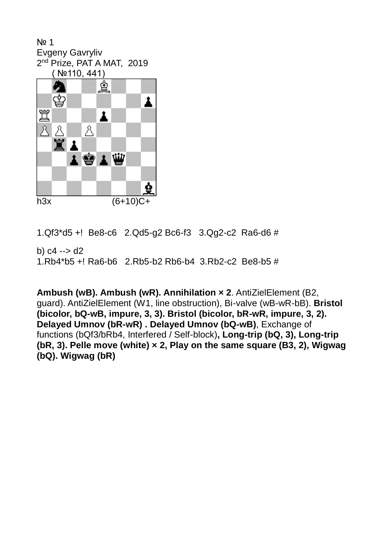№ 1 Evgeny Gavryliv 2<sup>nd</sup> Prize, PAT A MAT, 2019 ( №110, 441)



1.Qf3\*d5 +! Be8-c6 2.Qd5-g2 Bc6-f3 3.Qg2-c2Ra6-d6 #

b)  $c4 \rightarrow d2$ 1.Rb4\*b5 +! Ra6-b6 2.Rb5-b2 Rb6-b4 3.Rb2-c2 Be8-b5 #

**Ambush (wB). Ambush (wR). Annihilation × 2**. AntiZielElement (B2, guard). AntiZielElement (W1, line obstruction), Bi-valve (wB-wR-bB). **Bristol (bicolor, bQ-wB, impure, 3, 3). Bristol (bicolor, bR-wR, impure, 3, 2). Delayed Umnov (bR-wR) . Delayed Umnov (bQ-wB)**, Exchange of functions (bQf3/bRb4, Interfered / Self-block)**, Long-trip (bQ, 3), Long-trip (bR, 3). Pelle move (white) × 2, Play on the same square (B3, 2), Wigwag (bQ). Wigwag (bR)**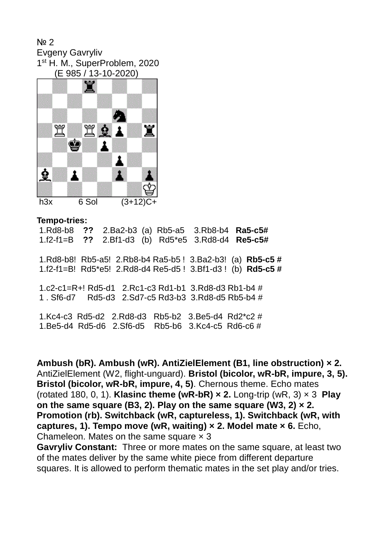№ 2 Evgeny Gavryliv 1<sup>st</sup> H. M., SuperProblem, 2020 (E 985 / 13-10-2020)



## **Tempo-tries:**

1.Rd8-b8 **??** 2.Ba2-b3 (a) Rb5-a5 3.Rb8-b4 **Ra5-c5#** 1.f2-f1=B **??** 2.Bf1-d3 (b) Rd5\*e5 3.Rd8-d4 **Re5-c5#** 1.Rd8-b8! Rb5-a5! 2.Rb8-b4 Ra5-b5 ! 3.Ba2-b3! (a) **Rb5-c5 #** 1.f2-f1=B! Rd5\*e5! 2.Rd8-d4 Re5-d5 ! 3.Bf1-d3 ! (b) **Rd5-c5 #** 1.c2-c1=R+! Rd5-d1 2.Rc1-c3 Rd1-b1 3.Rd8-d3 Rb1-b4 # 1 . Sf6-d7 Rd5-d3 2.Sd7-c5 Rd3-b3 3.Rd8-d5 Rb5-b4 # 1.Kc4-c3 Rd5-d2 2.Rd8-d3 Rb5-b2 3.Be5-d4 Rd2\*c2 # 1.Be5-d4 Rd5-d6 2.Sf6-d5 Rb5-b6 3.Kc4-c5 Rd6-c6 #

**Ambush (bR). Ambush (wR). AntiZielElement (B1, line obstruction) × 2.** AntiZielElement (W2, flight-unguard). **Bristol (bicolor, wR-bR, impure, 3, 5). Bristol (bicolor, wR-bR, impure, 4, 5)**. Chernous theme. Echo mates (rotated 180, 0, 1). **Klasinc theme (wR-bR) × 2.** Long-trip (wR, 3) × 3 **Play on the same square (B3, 2). Play on the same square (W3, 2) × 2. Promotion (rb). Switchback (wR, captureless, 1). Switchback (wR, with captures, 1). Tempo move (wR, waiting) × 2. Model mate × 6.** Echo, Chameleon. Mates on the same square  $\times$  3

**Gavryliv Constant:** Three or more mates on the same square, at least two of the mates deliver by the same white piece from different departure squares. It is allowed to perform thematic mates in the set play and/or tries.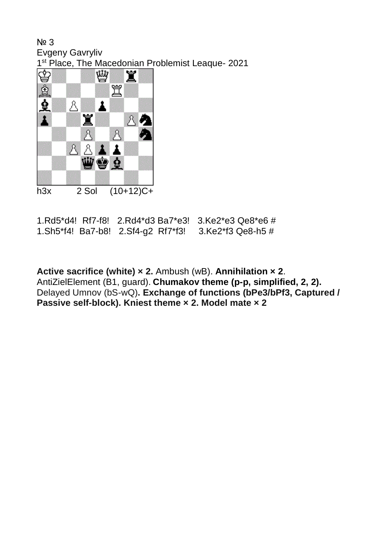№ 3 Evgeny Gavryliv 1<sup>st</sup> Place, The Macedonian Problemist Leaque- 2021



1.Rd5\*d4! Rf7-f8! 2.Rd4\*d3 Ba7\*e3! 3.Ke2\*e3 Qe8\*e6 # 1.Sh5\*f4! Ba7-b8! 2.Sf4-g2 Rf7\*f3! 3.Ke2\*f3 Qe8-h5 #

**Active sacrifice (white) × 2.** Ambush (wB). **Annihilation × 2**. AntiZielElement (B1, guard). **Chumakov theme (p-p, simplified, 2, 2).**  Delayed Umnov (bS-wQ)**. Exchange of functions (bPe3/bPf3, Captured / Passive self-block). Kniest theme × 2. Model mate × 2**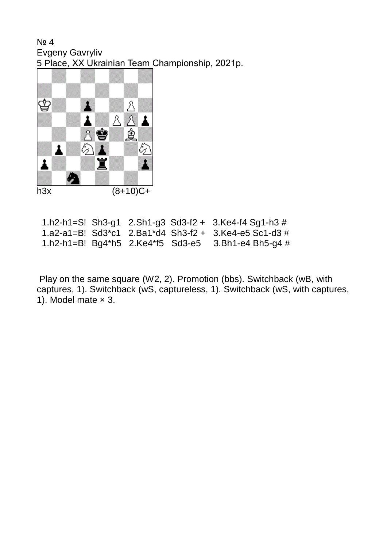№ 4 Evgeny Gavryliv 5 Place, XX Ukrainian Team Championship, 2021р.



|  |  | 1.h2-h1=S! Sh3-g1 2.Sh1-g3 Sd3-f2 + 3.Ke4-f4 Sg1-h3 #     |
|--|--|-----------------------------------------------------------|
|  |  | 1.a2-a1=B! $Sd3*c1$ 2.Ba1*d4 $Sh3-f2 + 3.Ke4-e5$ Sc1-d3 # |
|  |  | 1.h2-h1=B! Bg4*h5 2.Ke4*f5 Sd3-e5 3.Bh1-e4 Bh5-g4 #       |

[Play on the same square](http://helpman.komtera.lt/definition/Play%20on%20the%20same%20square) (W2, 2). [Promotion](http://helpman.komtera.lt/definition/Promotion) (bbs). [Switchback](http://helpman.komtera.lt/definition/Switchback) (wB, with captures, 1). [Switchback](http://helpman.komtera.lt/definition/Switchback) (wS, captureless, 1). [Switchback](http://helpman.komtera.lt/definition/Switchback) (wS, with captures, 1). Model mate  $\times$  3.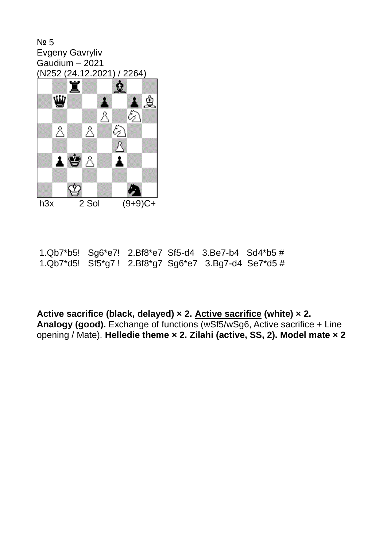№ 5 Evgeny Gavryliv Gaudium – 2021 (N252 (24.12.2021) / 2264)



| 1.Qb7*b5! $Sg6*e7!$ 2.Bf8*e7 Sf5-d4 3.Be7-b4 Sd4*b5#       |  |  |  |
|------------------------------------------------------------|--|--|--|
| 1.Qb7*d5! $Sf5*g7$ ! 2.Bf8*g7 $Sg6*e7$ 3.Bg7-d4 $Se7*d5$ # |  |  |  |

**[Active sacrifice](http://helpman.komtera.lt/definition/Active_sacrifice) (black, delayed) × 2. [Active sacrifice](http://helpman.komtera.lt/definition/Active_sacrifice) (white) × 2. [Analogy](http://helpman.komtera.lt/definition/Analogy) (good).** [Exchange of functions](http://helpman.komtera.lt/definition/Exchange_of_functions) (wSf5/wSg6, Active sacrifice + Line opening / Mate). **[Helledie theme](http://helpman.komtera.lt/definition/Helledie_theme) × 2. [Zilahi](http://helpman.komtera.lt/definition/Zilahi) (active, SS, 2). Model mate × 2**